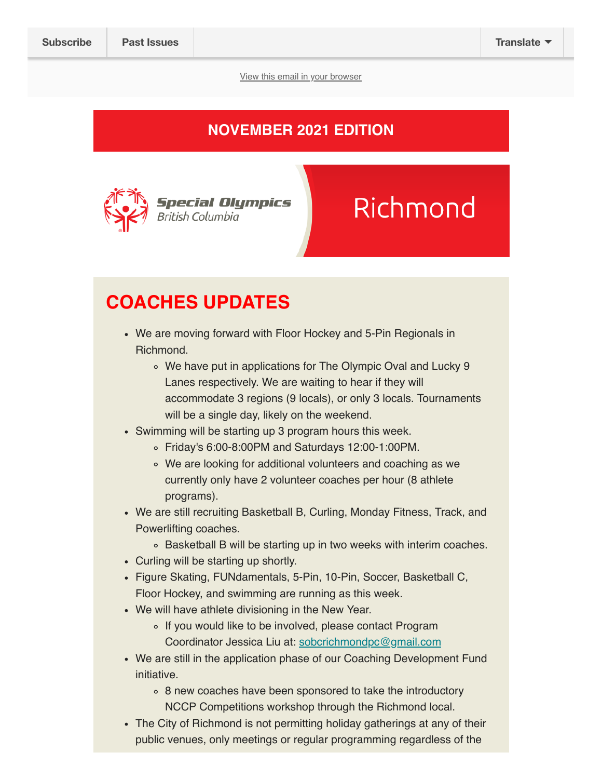View this email in your browser

### NOVEMBER 2021 EDITION



# Richmond

# COACHES UPDATES

- We are moving forward with Floor Hockey and 5-Pin Regionals in Richmond.
	- We have put in applications for The Olympic Oval and Lucky 9 Lanes respectively. We are waiting to hear if they will accommodate 3 regions (9 locals), or only 3 locals. Tournaments will be a single day, likely on the weekend.
- Swimming will be starting up 3 program hours this week.
	- Friday's 6:00-8:00PM and Saturdays 12:00-1:00PM.
	- We are looking for additional volunteers and coaching as we currently only have 2 volunteer coaches per hour (8 athlete programs).
- We are still recruiting Basketball B, Curling, Monday Fitness, Track, and Powerlifting coaches.
	- Basketball B will be starting up in two weeks with interim coaches.
- Curling will be starting up shortly.
- Figure Skating, FUNdamentals, 5-Pin, 10-Pin, Soccer, Basketball C, Floor Hockey, and swimming are running as this week.
- We will have athlete divisioning in the New Year.
	- If you would like to be involved, please contact Program Coordinator Jessica Liu at: sobcrichmondpc@gmail.com
- We are still in the application phase of our Coaching Development Fund initiative.
	- 8 new coaches have been sponsored to take the introductory NCCP Competitions workshop through the Richmond local.
- The City of Richmond is not permitting holiday gatherings at any of their public venues, only meetings or regular programming regardless of the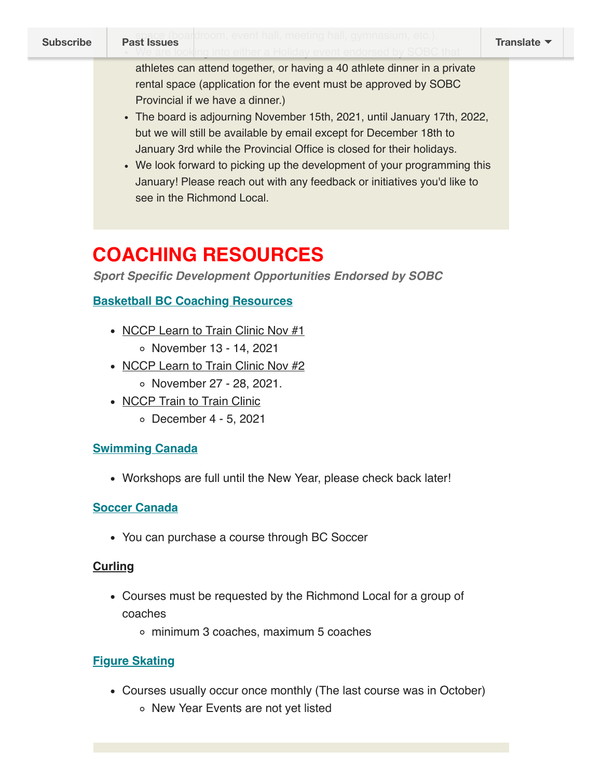athletes can attend together, or having a 40 athlete dinner in a private rental space (application for the event must be approved by SOBC Provincial if we have a dinner.)

- The board is adjourning November 15th, 2021, until January 17th, 2022, but we will still be available by email except for December 18th to January 3rd while the Provincial Office is closed for their holidays.
- We look forward to picking up the development of your programming this January! Please reach out with any feedback or initiatives you'd like to see in the Richmond Local.

# COACHING RESOURCES

Sport Specific Development Opportunities Endorsed by SOBC

### Basketball BC Coaching Resources

- NCCP Learn to Train Clinic Nov #1
	- November 13 14, 2021
- NCCP Learn to Train Clinic Nov #2 o November 27 - 28, 2021.
- NCCP Train to Train Clinic
	- December 4 5, 2021

### Swimming Canada

Workshops are full until the New Year, please check back later!

### Soccer Canada

You can purchase a course through BC Soccer

### **Curling**

- Courses must be requested by the Richmond Local for a group of coaches
	- minimum 3 coaches, maximum 5 coaches

### Figure Skating

- Courses usually occur once monthly (The last course was in October)
	- New Year Events are not yet listed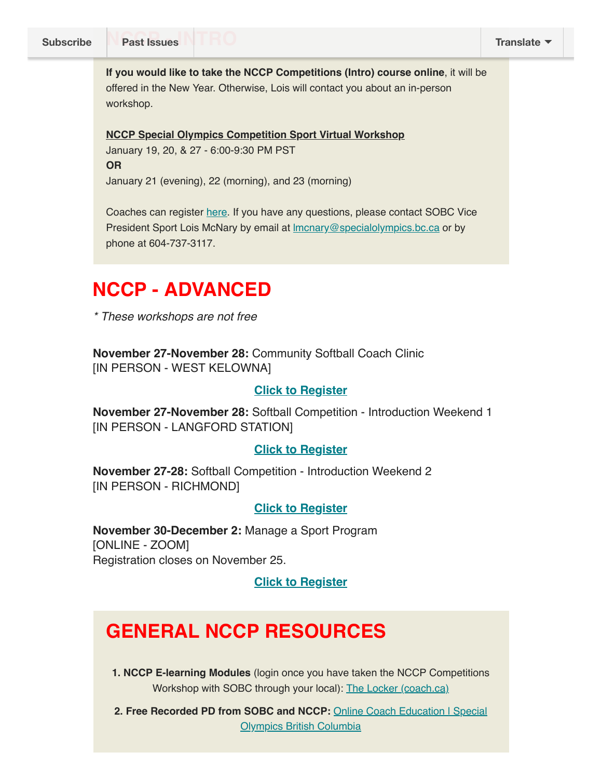If you would like to take the NCCP Competitions (Intro) course online, it will be offered in the New Year. Otherwise, Lois will contact you about an in-person workshop.

NCCP Special Olympics Competition Sport Virtual Workshop January 19, 20, & 27 - 6:00-9:30 PM PST OR January 21 (evening), 22 (morning), and 23 (morning)

Coaches can register here. If you have any questions, please contact SOBC Vice President Sport Lois McNary by email at *Imcnary@specialolympics.bc.ca* or by phone at 604-737-3117.

## NCCP - ADVANCED

\* These workshops are not free

November 27-November 28: Community Softball Coach Clinic [IN PERSON - WEST KELOWNA]

#### Click to Register

November 27-November 28: Softball Competition - Introduction Weekend 1 [IN PERSON - LANGFORD STATION]

#### Click to Register

November 27-28: Softball Competition - Introduction Weekend 2 [IN PERSON - RICHMOND]

#### Click to Register

November 30-December 2: Manage a Sport Program [ONLINE - ZOOM] Registration closes on November 25.

#### Click to Register

# GENERAL NCCP RESOURCES

1. NCCP E-learning Modules (login once you have taken the NCCP Competitions Workshop with SOBC through your local): The Locker (coach.ca)

2. Free Recorded PD from SOBC and NCCP: Online Coach Education | Special Olympics British Columbia